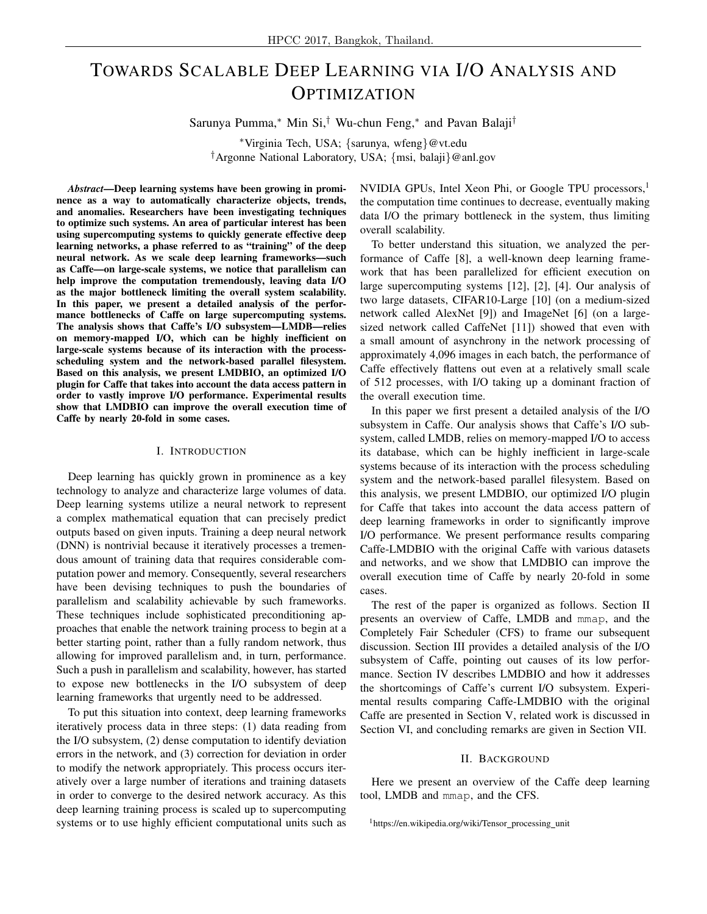# TOWARDS SCALABLE DEEP LEARNING VIA I/O ANALYSIS AND **OPTIMIZATION**

Sarunya Pumma,<sup>∗</sup> Min Si,† Wu-chun Feng,<sup>∗</sup> and Pavan Balaji†

<sup>∗</sup>Virginia Tech, USA; {sarunya, wfeng}@vt.edu †Argonne National Laboratory, USA; {msi, balaji}@anl.gov

*Abstract*—Deep learning systems have been growing in prominence as a way to automatically characterize objects, trends, and anomalies. Researchers have been investigating techniques to optimize such systems. An area of particular interest has been using supercomputing systems to quickly generate effective deep learning networks, a phase referred to as "training" of the deep neural network. As we scale deep learning frameworks—such as Caffe—on large-scale systems, we notice that parallelism can help improve the computation tremendously, leaving data I/O as the major bottleneck limiting the overall system scalability. In this paper, we present a detailed analysis of the performance bottlenecks of Caffe on large supercomputing systems. The analysis shows that Caffe's I/O subsystem—LMDB—relies on memory-mapped I/O, which can be highly inefficient on large-scale systems because of its interaction with the processscheduling system and the network-based parallel filesystem. Based on this analysis, we present LMDBIO, an optimized I/O plugin for Caffe that takes into account the data access pattern in order to vastly improve I/O performance. Experimental results show that LMDBIO can improve the overall execution time of Caffe by nearly 20-fold in some cases.

## I. INTRODUCTION

Deep learning has quickly grown in prominence as a key technology to analyze and characterize large volumes of data. Deep learning systems utilize a neural network to represent a complex mathematical equation that can precisely predict outputs based on given inputs. Training a deep neural network (DNN) is nontrivial because it iteratively processes a tremendous amount of training data that requires considerable computation power and memory. Consequently, several researchers have been devising techniques to push the boundaries of parallelism and scalability achievable by such frameworks. These techniques include sophisticated preconditioning approaches that enable the network training process to begin at a better starting point, rather than a fully random network, thus allowing for improved parallelism and, in turn, performance. Such a push in parallelism and scalability, however, has started to expose new bottlenecks in the I/O subsystem of deep learning frameworks that urgently need to be addressed.

To put this situation into context, deep learning frameworks iteratively process data in three steps: (1) data reading from the I/O subsystem, (2) dense computation to identify deviation errors in the network, and (3) correction for deviation in order to modify the network appropriately. This process occurs iteratively over a large number of iterations and training datasets in order to converge to the desired network accuracy. As this deep learning training process is scaled up to supercomputing systems or to use highly efficient computational units such as NVIDIA GPUs, Intel Xeon Phi, or Google TPU processors,<sup>1</sup> the computation time continues to decrease, eventually making data I/O the primary bottleneck in the system, thus limiting overall scalability.

To better understand this situation, we analyzed the performance of Caffe [8], a well-known deep learning framework that has been parallelized for efficient execution on large supercomputing systems [12], [2], [4]. Our analysis of two large datasets, CIFAR10-Large [10] (on a medium-sized network called AlexNet [9]) and ImageNet [6] (on a largesized network called CaffeNet [11]) showed that even with a small amount of asynchrony in the network processing of approximately 4,096 images in each batch, the performance of Caffe effectively flattens out even at a relatively small scale of 512 processes, with I/O taking up a dominant fraction of the overall execution time.

In this paper we first present a detailed analysis of the I/O subsystem in Caffe. Our analysis shows that Caffe's I/O subsystem, called LMDB, relies on memory-mapped I/O to access its database, which can be highly inefficient in large-scale systems because of its interaction with the process scheduling system and the network-based parallel filesystem. Based on this analysis, we present LMDBIO, our optimized I/O plugin for Caffe that takes into account the data access pattern of deep learning frameworks in order to significantly improve I/O performance. We present performance results comparing Caffe-LMDBIO with the original Caffe with various datasets and networks, and we show that LMDBIO can improve the overall execution time of Caffe by nearly 20-fold in some cases.

The rest of the paper is organized as follows. Section II presents an overview of Caffe, LMDB and mmap, and the Completely Fair Scheduler (CFS) to frame our subsequent discussion. Section III provides a detailed analysis of the I/O subsystem of Caffe, pointing out causes of its low performance. Section IV describes LMDBIO and how it addresses the shortcomings of Caffe's current I/O subsystem. Experimental results comparing Caffe-LMDBIO with the original Caffe are presented in Section V, related work is discussed in Section VI, and concluding remarks are given in Section VII.

## II. BACKGROUND

Here we present an overview of the Caffe deep learning tool, LMDB and mmap, and the CFS.

<sup>&</sup>lt;sup>1</sup>https://en.wikipedia.org/wiki/Tensor\_processing\_unit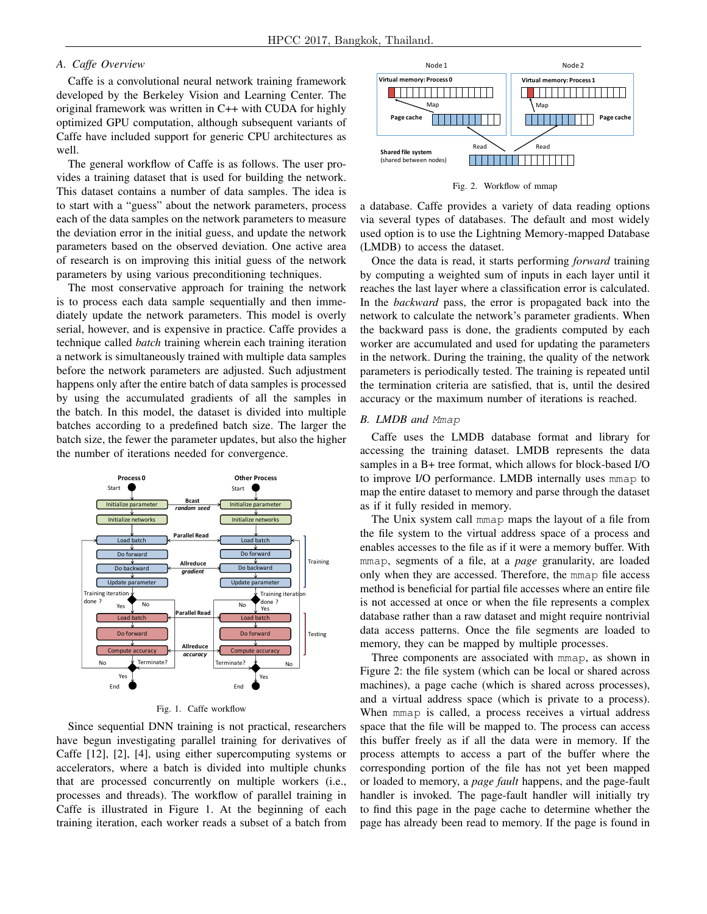## *A. Caffe Overview*

Caffe is a convolutional neural network training framework developed by the Berkeley Vision and Learning Center. The original framework was written in C++ with CUDA for highly optimized GPU computation, although subsequent variants of Caffe have included support for generic CPU architectures as well.

The general workflow of Caffe is as follows. The user provides a training dataset that is used for building the network. This dataset contains a number of data samples. The idea is to start with a "guess" about the network parameters, process each of the data samples on the network parameters to measure the deviation error in the initial guess, and update the network parameters based on the observed deviation. One active area of research is on improving this initial guess of the network parameters by using various preconditioning techniques.

The most conservative approach for training the network is to process each data sample sequentially and then immediately update the network parameters. This model is overly serial, however, and is expensive in practice. Caffe provides a technique called *batch* training wherein each training iteration a network is simultaneously trained with multiple data samples before the network parameters are adjusted. Such adjustment happens only after the entire batch of data samples is processed by using the accumulated gradients of all the samples in the batch. In this model, the dataset is divided into multiple batches according to a predefined batch size. The larger the batch size, the fewer the parameter updates, but also the higher the number of iterations needed for convergence.



Fig. 1. Caffe workflow

Since sequential DNN training is not practical, researchers have begun investigating parallel training for derivatives of Caffe [12], [2], [4], using either supercomputing systems or accelerators, where a batch is divided into multiple chunks that are processed concurrently on multiple workers (i.e., processes and threads). The workflow of parallel training in Caffe is illustrated in Figure 1. At the beginning of each training iteration, each worker reads a subset of a batch from



Fig. 2. Workflow of mmap

a database. Caffe provides a variety of data reading options via several types of databases. The default and most widely used option is to use the Lightning Memory-mapped Database (LMDB) to access the dataset.

Once the data is read, it starts performing *forward* training by computing a weighted sum of inputs in each layer until it reaches the last layer where a classification error is calculated. In the *backward* pass, the error is propagated back into the network to calculate the network's parameter gradients. When the backward pass is done, the gradients computed by each worker are accumulated and used for updating the parameters in the network. During the training, the quality of the network parameters is periodically tested. The training is repeated until the termination criteria are satisfied, that is, until the desired accuracy or the maximum number of iterations is reached.

#### *B. LMDB and* Mmap

Caffe uses the LMDB database format and library for accessing the training dataset. LMDB represents the data samples in a B+ tree format, which allows for block-based I/O to improve I/O performance. LMDB internally uses mmap to map the entire dataset to memory and parse through the dataset as if it fully resided in memory.

The Unix system call mmap maps the layout of a file from the file system to the virtual address space of a process and enables accesses to the file as if it were a memory buffer. With mmap, segments of a file, at a *page* granularity, are loaded only when they are accessed. Therefore, the mmap file access method is beneficial for partial file accesses where an entire file is not accessed at once or when the file represents a complex database rather than a raw dataset and might require nontrivial data access patterns. Once the file segments are loaded to memory, they can be mapped by multiple processes.

Three components are associated with mmap, as shown in Figure 2: the file system (which can be local or shared across machines), a page cache (which is shared across processes), and a virtual address space (which is private to a process). When mmap is called, a process receives a virtual address space that the file will be mapped to. The process can access this buffer freely as if all the data were in memory. If the process attempts to access a part of the buffer where the corresponding portion of the file has not yet been mapped or loaded to memory, a *page fault* happens, and the page-fault handler is invoked. The page-fault handler will initially try to find this page in the page cache to determine whether the page has already been read to memory. If the page is found in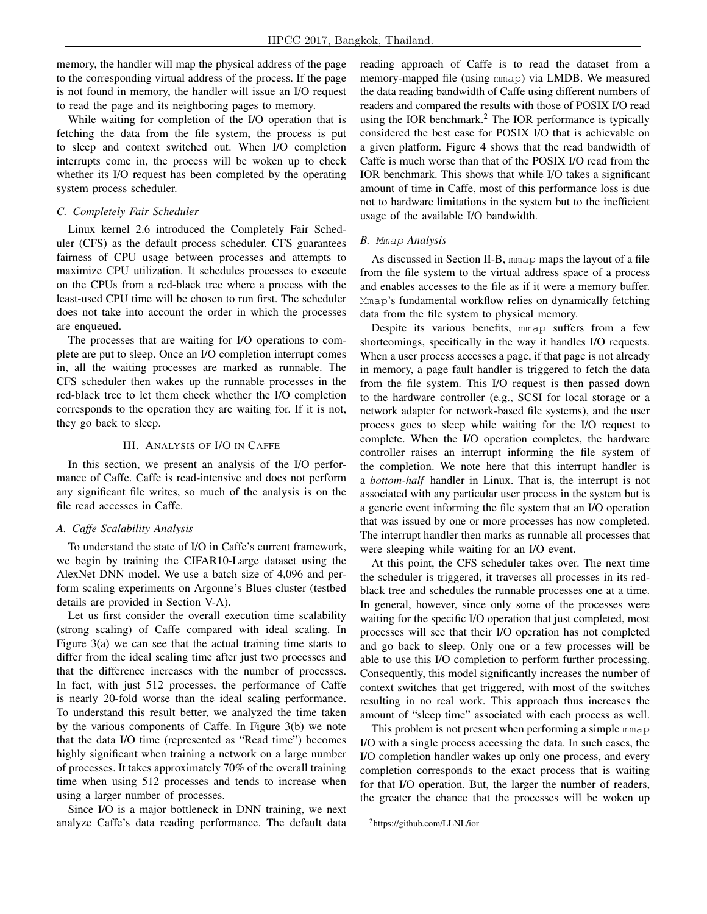memory, the handler will map the physical address of the page to the corresponding virtual address of the process. If the page is not found in memory, the handler will issue an I/O request to read the page and its neighboring pages to memory.

While waiting for completion of the I/O operation that is fetching the data from the file system, the process is put to sleep and context switched out. When I/O completion interrupts come in, the process will be woken up to check whether its I/O request has been completed by the operating system process scheduler.

#### *C. Completely Fair Scheduler*

Linux kernel 2.6 introduced the Completely Fair Scheduler (CFS) as the default process scheduler. CFS guarantees fairness of CPU usage between processes and attempts to maximize CPU utilization. It schedules processes to execute on the CPUs from a red-black tree where a process with the least-used CPU time will be chosen to run first. The scheduler does not take into account the order in which the processes are enqueued.

The processes that are waiting for I/O operations to complete are put to sleep. Once an I/O completion interrupt comes in, all the waiting processes are marked as runnable. The CFS scheduler then wakes up the runnable processes in the red-black tree to let them check whether the I/O completion corresponds to the operation they are waiting for. If it is not, they go back to sleep.

#### III. ANALYSIS OF I/O IN CAFFE

In this section, we present an analysis of the I/O performance of Caffe. Caffe is read-intensive and does not perform any significant file writes, so much of the analysis is on the file read accesses in Caffe.

#### *A. Caffe Scalability Analysis*

To understand the state of I/O in Caffe's current framework, we begin by training the CIFAR10-Large dataset using the AlexNet DNN model. We use a batch size of 4,096 and perform scaling experiments on Argonne's Blues cluster (testbed details are provided in Section V-A).

Let us first consider the overall execution time scalability (strong scaling) of Caffe compared with ideal scaling. In Figure 3(a) we can see that the actual training time starts to differ from the ideal scaling time after just two processes and that the difference increases with the number of processes. In fact, with just 512 processes, the performance of Caffe is nearly 20-fold worse than the ideal scaling performance. To understand this result better, we analyzed the time taken by the various components of Caffe. In Figure 3(b) we note that the data I/O time (represented as "Read time") becomes highly significant when training a network on a large number of processes. It takes approximately 70% of the overall training time when using 512 processes and tends to increase when using a larger number of processes.

Since I/O is a major bottleneck in DNN training, we next analyze Caffe's data reading performance. The default data

reading approach of Caffe is to read the dataset from a memory-mapped file (using mmap) via LMDB. We measured the data reading bandwidth of Caffe using different numbers of readers and compared the results with those of POSIX I/O read using the IOR benchmark.<sup>2</sup> The IOR performance is typically considered the best case for POSIX I/O that is achievable on a given platform. Figure 4 shows that the read bandwidth of Caffe is much worse than that of the POSIX I/O read from the IOR benchmark. This shows that while I/O takes a significant amount of time in Caffe, most of this performance loss is due not to hardware limitations in the system but to the inefficient usage of the available I/O bandwidth.

## *B.* Mmap *Analysis*

As discussed in Section II-B, mmap maps the layout of a file from the file system to the virtual address space of a process and enables accesses to the file as if it were a memory buffer. Mmap's fundamental workflow relies on dynamically fetching data from the file system to physical memory.

Despite its various benefits, mmap suffers from a few shortcomings, specifically in the way it handles I/O requests. When a user process accesses a page, if that page is not already in memory, a page fault handler is triggered to fetch the data from the file system. This I/O request is then passed down to the hardware controller (e.g., SCSI for local storage or a network adapter for network-based file systems), and the user process goes to sleep while waiting for the I/O request to complete. When the I/O operation completes, the hardware controller raises an interrupt informing the file system of the completion. We note here that this interrupt handler is a *bottom-half* handler in Linux. That is, the interrupt is not associated with any particular user process in the system but is a generic event informing the file system that an I/O operation that was issued by one or more processes has now completed. The interrupt handler then marks as runnable all processes that were sleeping while waiting for an I/O event.

At this point, the CFS scheduler takes over. The next time the scheduler is triggered, it traverses all processes in its redblack tree and schedules the runnable processes one at a time. In general, however, since only some of the processes were waiting for the specific I/O operation that just completed, most processes will see that their I/O operation has not completed and go back to sleep. Only one or a few processes will be able to use this I/O completion to perform further processing. Consequently, this model significantly increases the number of context switches that get triggered, with most of the switches resulting in no real work. This approach thus increases the amount of "sleep time" associated with each process as well.

This problem is not present when performing a simple mmap I/O with a single process accessing the data. In such cases, the I/O completion handler wakes up only one process, and every completion corresponds to the exact process that is waiting for that I/O operation. But, the larger the number of readers, the greater the chance that the processes will be woken up

```
2https://github.com/LLNL/ior
```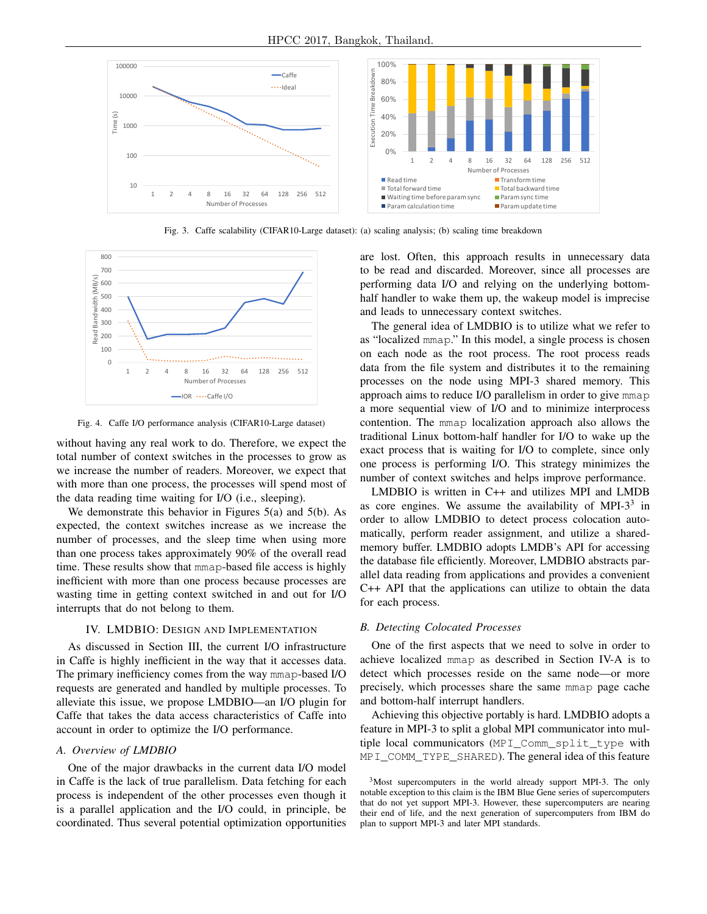

Fig. 3. Caffe scalability (CIFAR10-Large dataset): (a) scaling analysis; (b) scaling time breakdown



Fig. 4. Caffe I/O performance analysis (CIFAR10-Large dataset)

without having any real work to do. Therefore, we expect the total number of context switches in the processes to grow as we increase the number of readers. Moreover, we expect that with more than one process, the processes will spend most of the data reading time waiting for I/O (i.e., sleeping).

We demonstrate this behavior in Figures 5(a) and 5(b). As expected, the context switches increase as we increase the number of processes, and the sleep time when using more than one process takes approximately 90% of the overall read time. These results show that mmap-based file access is highly inefficient with more than one process because processes are wasting time in getting context switched in and out for I/O interrupts that do not belong to them.

## IV. LMDBIO: DESIGN AND IMPLEMENTATION

As discussed in Section III, the current I/O infrastructure in Caffe is highly inefficient in the way that it accesses data. The primary inefficiency comes from the way mmap-based I/O requests are generated and handled by multiple processes. To alleviate this issue, we propose LMDBIO—an I/O plugin for Caffe that takes the data access characteristics of Caffe into account in order to optimize the I/O performance.

## *A. Overview of LMDBIO*

One of the major drawbacks in the current data I/O model in Caffe is the lack of true parallelism. Data fetching for each process is independent of the other processes even though it is a parallel application and the I/O could, in principle, be coordinated. Thus several potential optimization opportunities

are lost. Often, this approach results in unnecessary data to be read and discarded. Moreover, since all processes are performing data I/O and relying on the underlying bottomhalf handler to wake them up, the wakeup model is imprecise and leads to unnecessary context switches.

The general idea of LMDBIO is to utilize what we refer to as "localized mmap." In this model, a single process is chosen on each node as the root process. The root process reads data from the file system and distributes it to the remaining processes on the node using MPI-3 shared memory. This approach aims to reduce I/O parallelism in order to give mmap a more sequential view of I/O and to minimize interprocess contention. The mmap localization approach also allows the traditional Linux bottom-half handler for I/O to wake up the exact process that is waiting for I/O to complete, since only one process is performing I/O. This strategy minimizes the number of context switches and helps improve performance.

LMDBIO is written in C++ and utilizes MPI and LMDB as core engines. We assume the availability of MPI- $3<sup>3</sup>$  in order to allow LMDBIO to detect process colocation automatically, perform reader assignment, and utilize a sharedmemory buffer. LMDBIO adopts LMDB's API for accessing the database file efficiently. Moreover, LMDBIO abstracts parallel data reading from applications and provides a convenient C++ API that the applications can utilize to obtain the data for each process.

## *B. Detecting Colocated Processes*

One of the first aspects that we need to solve in order to achieve localized mmap as described in Section IV-A is to detect which processes reside on the same node—or more precisely, which processes share the same mmap page cache and bottom-half interrupt handlers.

Achieving this objective portably is hard. LMDBIO adopts a feature in MPI-3 to split a global MPI communicator into multiple local communicators (MPI\_Comm\_split\_type with MPI\_COMM\_TYPE\_SHARED). The general idea of this feature

<sup>3</sup>Most supercomputers in the world already support MPI-3. The only notable exception to this claim is the IBM Blue Gene series of supercomputers that do not yet support MPI-3. However, these supercomputers are nearing their end of life, and the next generation of supercomputers from IBM do plan to support MPI-3 and later MPI standards.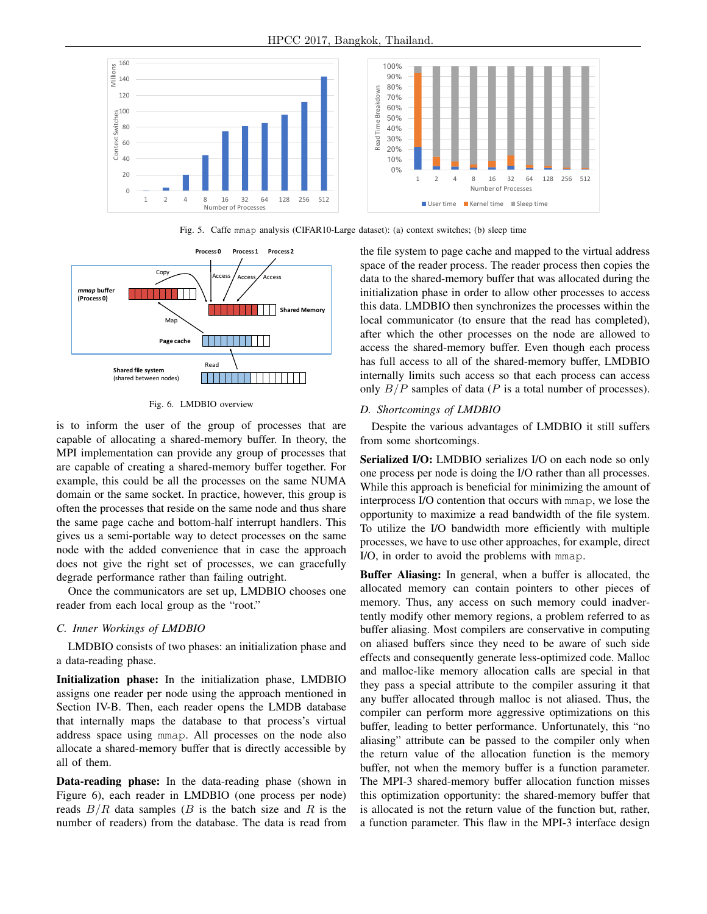

Fig. 5. Caffe mmap analysis (CIFAR10-Large dataset): (a) context switches; (b) sleep time



Fig. 6. LMDBIO overview

is to inform the user of the group of processes that are capable of allocating a shared-memory buffer. In theory, the MPI implementation can provide any group of processes that are capable of creating a shared-memory buffer together. For example, this could be all the processes on the same NUMA domain or the same socket. In practice, however, this group is often the processes that reside on the same node and thus share the same page cache and bottom-half interrupt handlers. This gives us a semi-portable way to detect processes on the same node with the added convenience that in case the approach does not give the right set of processes, we can gracefully degrade performance rather than failing outright.

Once the communicators are set up, LMDBIO chooses one reader from each local group as the "root."

#### *C. Inner Workings of LMDBIO*

LMDBIO consists of two phases: an initialization phase and a data-reading phase.

Initialization phase: In the initialization phase, LMDBIO assigns one reader per node using the approach mentioned in Section IV-B. Then, each reader opens the LMDB database that internally maps the database to that process's virtual address space using mmap. All processes on the node also allocate a shared-memory buffer that is directly accessible by all of them.

Data-reading phase: In the data-reading phase (shown in Figure 6), each reader in LMDBIO (one process per node) reads  $B/R$  data samples (B is the batch size and R is the number of readers) from the database. The data is read from the file system to page cache and mapped to the virtual address space of the reader process. The reader process then copies the data to the shared-memory buffer that was allocated during the initialization phase in order to allow other processes to access this data. LMDBIO then synchronizes the processes within the local communicator (to ensure that the read has completed), after which the other processes on the node are allowed to access the shared-memory buffer. Even though each process has full access to all of the shared-memory buffer, LMDBIO internally limits such access so that each process can access only  $B/P$  samples of data (P is a total number of processes).

#### *D. Shortcomings of LMDBIO*

Despite the various advantages of LMDBIO it still suffers from some shortcomings.

Serialized I/O: LMDBIO serializes I/O on each node so only one process per node is doing the I/O rather than all processes. While this approach is beneficial for minimizing the amount of interprocess I/O contention that occurs with mmap, we lose the opportunity to maximize a read bandwidth of the file system. To utilize the I/O bandwidth more efficiently with multiple processes, we have to use other approaches, for example, direct I/O, in order to avoid the problems with mmap.

Buffer Aliasing: In general, when a buffer is allocated, the allocated memory can contain pointers to other pieces of memory. Thus, any access on such memory could inadvertently modify other memory regions, a problem referred to as buffer aliasing. Most compilers are conservative in computing on aliased buffers since they need to be aware of such side effects and consequently generate less-optimized code. Malloc and malloc-like memory allocation calls are special in that they pass a special attribute to the compiler assuring it that any buffer allocated through malloc is not aliased. Thus, the compiler can perform more aggressive optimizations on this buffer, leading to better performance. Unfortunately, this "no aliasing" attribute can be passed to the compiler only when the return value of the allocation function is the memory buffer, not when the memory buffer is a function parameter. The MPI-3 shared-memory buffer allocation function misses this optimization opportunity: the shared-memory buffer that is allocated is not the return value of the function but, rather, a function parameter. This flaw in the MPI-3 interface design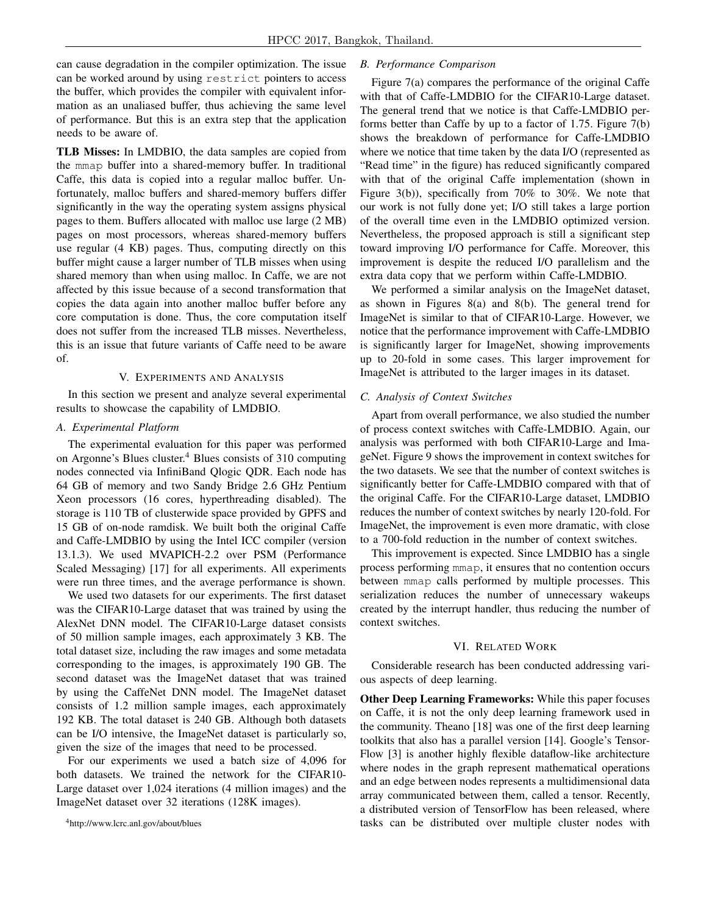can cause degradation in the compiler optimization. The issue can be worked around by using restrict pointers to access the buffer, which provides the compiler with equivalent information as an unaliased buffer, thus achieving the same level of performance. But this is an extra step that the application needs to be aware of.

TLB Misses: In LMDBIO, the data samples are copied from the mmap buffer into a shared-memory buffer. In traditional Caffe, this data is copied into a regular malloc buffer. Unfortunately, malloc buffers and shared-memory buffers differ significantly in the way the operating system assigns physical pages to them. Buffers allocated with malloc use large (2 MB) pages on most processors, whereas shared-memory buffers use regular (4 KB) pages. Thus, computing directly on this buffer might cause a larger number of TLB misses when using shared memory than when using malloc. In Caffe, we are not affected by this issue because of a second transformation that copies the data again into another malloc buffer before any core computation is done. Thus, the core computation itself does not suffer from the increased TLB misses. Nevertheless, this is an issue that future variants of Caffe need to be aware of.

## V. EXPERIMENTS AND ANALYSIS

In this section we present and analyze several experimental results to showcase the capability of LMDBIO.

## *A. Experimental Platform*

The experimental evaluation for this paper was performed on Argonne's Blues cluster.<sup>4</sup> Blues consists of 310 computing nodes connected via InfiniBand Qlogic QDR. Each node has 64 GB of memory and two Sandy Bridge 2.6 GHz Pentium Xeon processors (16 cores, hyperthreading disabled). The storage is 110 TB of clusterwide space provided by GPFS and 15 GB of on-node ramdisk. We built both the original Caffe and Caffe-LMDBIO by using the Intel ICC compiler (version 13.1.3). We used MVAPICH-2.2 over PSM (Performance Scaled Messaging) [17] for all experiments. All experiments were run three times, and the average performance is shown.

We used two datasets for our experiments. The first dataset was the CIFAR10-Large dataset that was trained by using the AlexNet DNN model. The CIFAR10-Large dataset consists of 50 million sample images, each approximately 3 KB. The total dataset size, including the raw images and some metadata corresponding to the images, is approximately 190 GB. The second dataset was the ImageNet dataset that was trained by using the CaffeNet DNN model. The ImageNet dataset consists of 1.2 million sample images, each approximately 192 KB. The total dataset is 240 GB. Although both datasets can be I/O intensive, the ImageNet dataset is particularly so, given the size of the images that need to be processed.

For our experiments we used a batch size of 4,096 for both datasets. We trained the network for the CIFAR10- Large dataset over 1,024 iterations (4 million images) and the ImageNet dataset over 32 iterations (128K images).

## *B. Performance Comparison*

Figure 7(a) compares the performance of the original Caffe with that of Caffe-LMDBIO for the CIFAR10-Large dataset. The general trend that we notice is that Caffe-LMDBIO performs better than Caffe by up to a factor of 1.75. Figure 7(b) shows the breakdown of performance for Caffe-LMDBIO where we notice that time taken by the data I/O (represented as "Read time" in the figure) has reduced significantly compared with that of the original Caffe implementation (shown in Figure 3(b)), specifically from 70% to 30%. We note that our work is not fully done yet; I/O still takes a large portion of the overall time even in the LMDBIO optimized version. Nevertheless, the proposed approach is still a significant step toward improving I/O performance for Caffe. Moreover, this improvement is despite the reduced I/O parallelism and the extra data copy that we perform within Caffe-LMDBIO.

We performed a similar analysis on the ImageNet dataset, as shown in Figures 8(a) and 8(b). The general trend for ImageNet is similar to that of CIFAR10-Large. However, we notice that the performance improvement with Caffe-LMDBIO is significantly larger for ImageNet, showing improvements up to 20-fold in some cases. This larger improvement for ImageNet is attributed to the larger images in its dataset.

#### *C. Analysis of Context Switches*

Apart from overall performance, we also studied the number of process context switches with Caffe-LMDBIO. Again, our analysis was performed with both CIFAR10-Large and ImageNet. Figure 9 shows the improvement in context switches for the two datasets. We see that the number of context switches is significantly better for Caffe-LMDBIO compared with that of the original Caffe. For the CIFAR10-Large dataset, LMDBIO reduces the number of context switches by nearly 120-fold. For ImageNet, the improvement is even more dramatic, with close to a 700-fold reduction in the number of context switches.

This improvement is expected. Since LMDBIO has a single process performing mmap, it ensures that no contention occurs between mmap calls performed by multiple processes. This serialization reduces the number of unnecessary wakeups created by the interrupt handler, thus reducing the number of context switches.

#### VI. RELATED WORK

Considerable research has been conducted addressing various aspects of deep learning.

Other Deep Learning Frameworks: While this paper focuses on Caffe, it is not the only deep learning framework used in the community. Theano [18] was one of the first deep learning toolkits that also has a parallel version [14]. Google's Tensor-Flow [3] is another highly flexible dataflow-like architecture where nodes in the graph represent mathematical operations and an edge between nodes represents a multidimensional data array communicated between them, called a tensor. Recently, a distributed version of TensorFlow has been released, where tasks can be distributed over multiple cluster nodes with

<sup>4</sup>http://www.lcrc.anl.gov/about/blues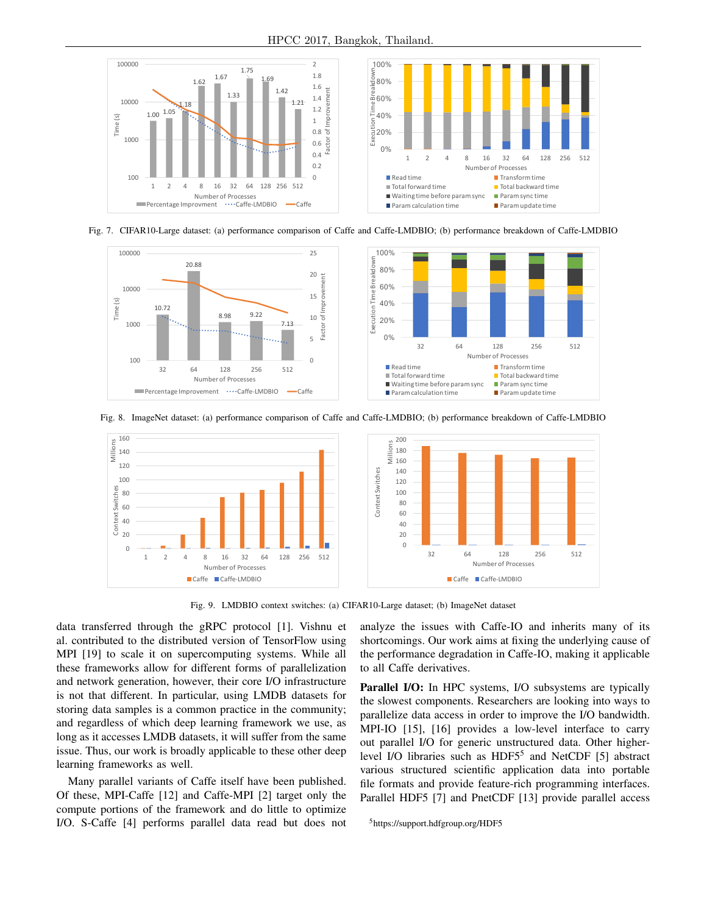

Fig. 7. CIFAR10-Large dataset: (a) performance comparison of Caffe and Caffe-LMDBIO; (b) performance breakdown of Caffe-LMDBIO







Fig. 9. LMDBIO context switches: (a) CIFAR10-Large dataset; (b) ImageNet dataset

data transferred through the gRPC protocol [1]. Vishnu et al. contributed to the distributed version of TensorFlow using MPI [19] to scale it on supercomputing systems. While all these frameworks allow for different forms of parallelization and network generation, however, their core I/O infrastructure is not that different. In particular, using LMDB datasets for storing data samples is a common practice in the community; and regardless of which deep learning framework we use, as long as it accesses LMDB datasets, it will suffer from the same issue. Thus, our work is broadly applicable to these other deep learning frameworks as well.

Many parallel variants of Caffe itself have been published. Of these, MPI-Caffe [12] and Caffe-MPI [2] target only the compute portions of the framework and do little to optimize I/O. S-Caffe [4] performs parallel data read but does not analyze the issues with Caffe-IO and inherits many of its shortcomings. Our work aims at fixing the underlying cause of the performance degradation in Caffe-IO, making it applicable to all Caffe derivatives.

Parallel I/O: In HPC systems, I/O subsystems are typically the slowest components. Researchers are looking into ways to parallelize data access in order to improve the I/O bandwidth. MPI-IO [15], [16] provides a low-level interface to carry out parallel I/O for generic unstructured data. Other higherlevel I/O libraries such as HDF5<sup>5</sup> and NetCDF [5] abstract various structured scientific application data into portable file formats and provide feature-rich programming interfaces. Parallel HDF5 [7] and PnetCDF [13] provide parallel access

```
5https://support.hdfgroup.org/HDF5
```